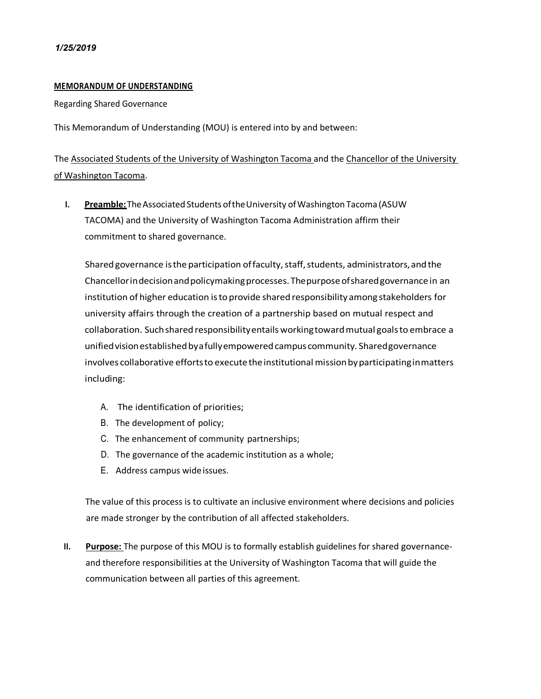## **MEMORANDUM OF UNDERSTANDING**

Regarding Shared Governance

This Memorandum of Understanding (MOU) is entered into by and between:

The Associated Students of the University of Washington Tacoma and the Chancellor of the University of Washington Tacoma.

**I. Preamble:** The Associated Students of the University of Washington Tacoma (ASUW) TACOMA) and the University of Washington Tacoma Administration affirm their commitment to shared governance.

Shared governance is the participation of faculty, staff, students, administrators, and the Chancellorindecisionandpolicymakingprocesses.Thepurposeofsharedgovernancein an institution of higher education isto provide shared responsibility among stakeholders for university affairs through the creation of a partnership based on mutual respect and collaboration. Suchshared responsibilityentails workingtowardmutual goalsto embrace a unifiedvisionestablishedbyafullyempoweredcampuscommunity. Sharedgovernance involves collaborative efforts to execute the institutional mission by participating in matters including:

- A. The identification of priorities;
- B. The development of policy;
- C. The enhancement of community partnerships;
- D. The governance of the academic institution as a whole;
- E. Address campus wideissues.

The value of this process is to cultivate an inclusive environment where decisions and policies are made stronger by the contribution of all affected stakeholders.

**II. Purpose:** The purpose of this MOU is to formally establish guidelines for shared governanceand therefore responsibilities at the University of Washington Tacoma that will guide the communication between all parties of this agreement.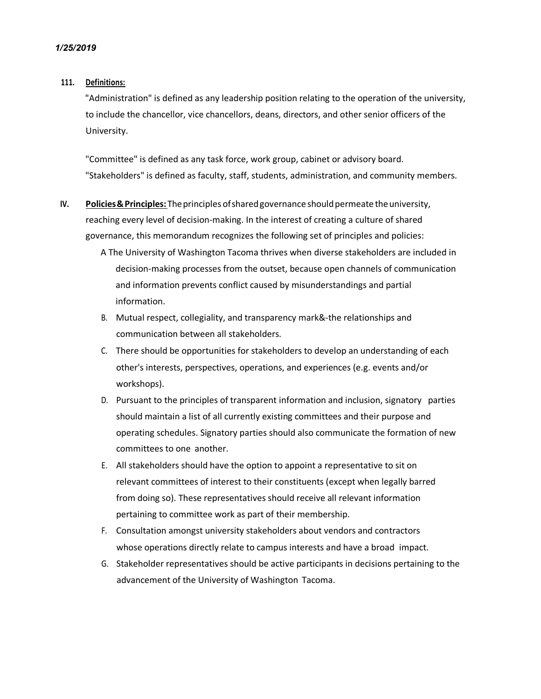#### **111. Definitions:**

"Administration" is defined as any leadership position relating to the operation of the university, to include the chancellor, vice chancellors, deans, directors, and other senior officers of the University.

"Committee" is defined as any task force, work group, cabinet or advisory board. "Stakeholders" is defined as faculty, staff, students, administration, and community members.

- **IV.** Policies & Principles: The principles of shared governance should permeate the university, reaching every level of decision-making. In the interest of creating a culture of shared governance, this memorandum recognizes the following set of principles and policies:
	- A The University of Washington Tacoma thrives when diverse stakeholders are included in decision-making processes from the outset, because open channels of communication and information prevents conflict caused by misunderstandings and partial information.
	- B. Mutual respect, collegiality, and transparency mark&-the relationships and communication between all stakeholders.
	- C. There should be opportunities for stakeholders to develop an understanding of each other's interests, perspectives, operations, and experiences (e.g. events and/or workshops).
	- D. Pursuant to the principles of transparent information and inclusion, signatory parties should maintain a list of all currently existing committees and their purpose and operating schedules. Signatory parties should also communicate the formation of new committees to one another.
	- E. All stakeholders should have the option to appoint a representative to sit on relevant committees of interest to their constituents (except when legally barred from doing so). These representatives should receive all relevant information pertaining to committee work as part of their membership.
	- F. Consultation amongst university stakeholders about vendors and contractors whose operations directly relate to campus interests and have a broad impact.
	- G. Stakeholder representatives should be active participants in decisions pertaining to the advancement of the University of Washington Tacoma.